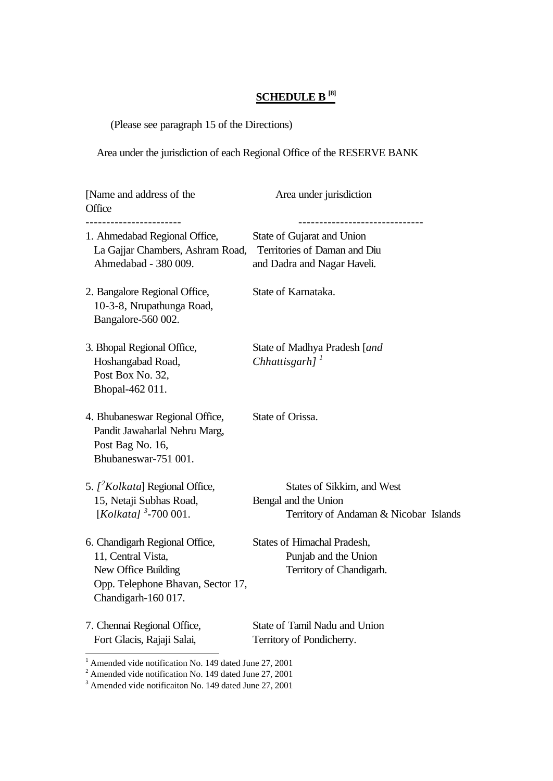## **SCHEDULE B [8]**

(Please see paragraph 15 of the Directions)

Area under the jurisdiction of each Regional Office of the RESERVE BANK

| [Name and address of the<br>Office                                                                                                      | Area under jurisdiction                                                                      |
|-----------------------------------------------------------------------------------------------------------------------------------------|----------------------------------------------------------------------------------------------|
| 1. Ahmedabad Regional Office,<br>La Gajjar Chambers, Ashram Road,<br>Ahmedabad - 380 009.                                               | State of Gujarat and Union<br>Territories of Daman and Diu<br>and Dadra and Nagar Haveli.    |
| 2. Bangalore Regional Office,<br>10-3-8, Nrupathunga Road,<br>Bangalore-560 002.                                                        | State of Karnataka.                                                                          |
| 3. Bhopal Regional Office,<br>Hoshangabad Road,<br>Post Box No. 32,<br>Bhopal-462 011.                                                  | State of Madhya Pradesh [and<br>Chhattisgarh $J^T$                                           |
| 4. Bhubaneswar Regional Office,<br>Pandit Jawaharlal Nehru Marg,<br>Post Bag No. 16,<br>Bhubaneswar-751 001.                            | State of Orissa.                                                                             |
| 5. $\int^2$ Kolkata] Regional Office,<br>15, Netaji Subhas Road,<br>[Kolkata] $3-700001$ .                                              | States of Sikkim, and West<br>Bengal and the Union<br>Territory of Andaman & Nicobar Islands |
| 6. Chandigarh Regional Office,<br>11, Central Vista,<br>New Office Building<br>Opp. Telephone Bhavan, Sector 17,<br>Chandigarh-160 017. | <b>States of Himachal Pradesh,</b><br>Punjab and the Union<br>Territory of Chandigarh.       |
| 7. Chennai Regional Office,<br>Fort Glacis, Rajaji Salai,                                                                               | State of Tamil Nadu and Union<br>Territory of Pondicherry.                                   |

<sup>&</sup>lt;sup>1</sup> Amended vide notification No. 149 dated June 27, 2001<sup>2</sup><br><sup>2</sup> Amended vide notification No. 149 dated June 27, 2001<sup>3</sup> Amended vide notification No. 149 dated June 27, 2001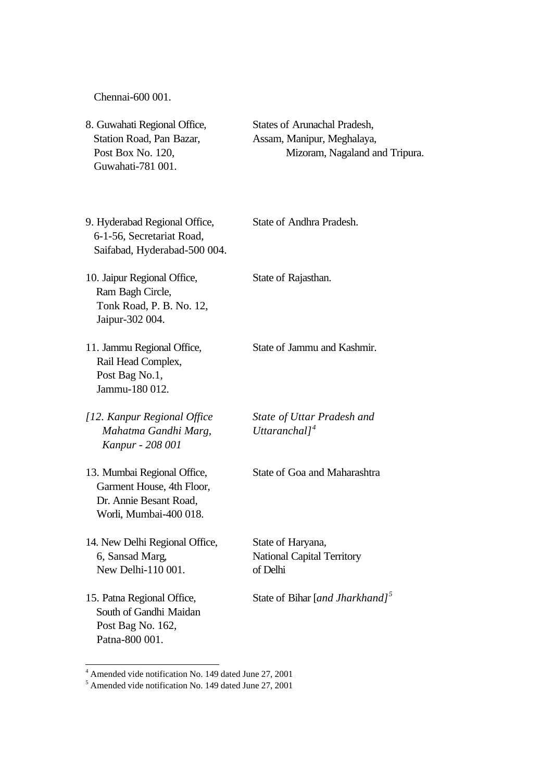Chennai-600 001.

| 8. Guwahati Regional Office,<br>Station Road, Pan Bazar,<br>Post Box No. 120,<br>Guwahati-781 001.           | States of Arunachal Pradesh,<br>Assam, Manipur, Meghalaya,<br>Mizoram, Nagaland and Tripura. |
|--------------------------------------------------------------------------------------------------------------|----------------------------------------------------------------------------------------------|
| 9. Hyderabad Regional Office,<br>6-1-56, Secretariat Road,<br>Saifabad, Hyderabad-500 004.                   | <b>State of Andhra Pradesh.</b>                                                              |
| 10. Jaipur Regional Office,<br>Ram Bagh Circle,<br>Tonk Road, P. B. No. 12,<br>Jaipur-302 004.               | State of Rajasthan.                                                                          |
| 11. Jammu Regional Office,<br>Rail Head Complex,<br>Post Bag No.1,<br>Jammu-180 012.                         | State of Jammu and Kashmir.                                                                  |
| [12. Kanpur Regional Office<br>Mahatma Gandhi Marg,<br>Kanpur - 208 001                                      | State of Uttar Pradesh and<br>Uttaranchal $l^4$                                              |
| 13. Mumbai Regional Office,<br>Garment House, 4th Floor,<br>Dr. Annie Besant Road,<br>Worli, Mumbai-400 018. | State of Goa and Maharashtra                                                                 |
| 14. New Delhi Regional Office,<br>6, Sansad Marg,<br>New Delhi-110 001.                                      | State of Haryana,<br><b>National Capital Territory</b><br>of Delhi                           |
| 15. Patna Regional Office,<br>South of Gandhi Maidan<br>Post Bag No. 162,<br>Patna-800 001.                  | State of Bihar [and Jharkhand] <sup>5</sup>                                                  |

<sup>&</sup>lt;sup>4</sup> Amended vide notification No. 149 dated June 27, 2001<br><sup>5</sup> Amended vide notification No. 149 dated June 27, 2001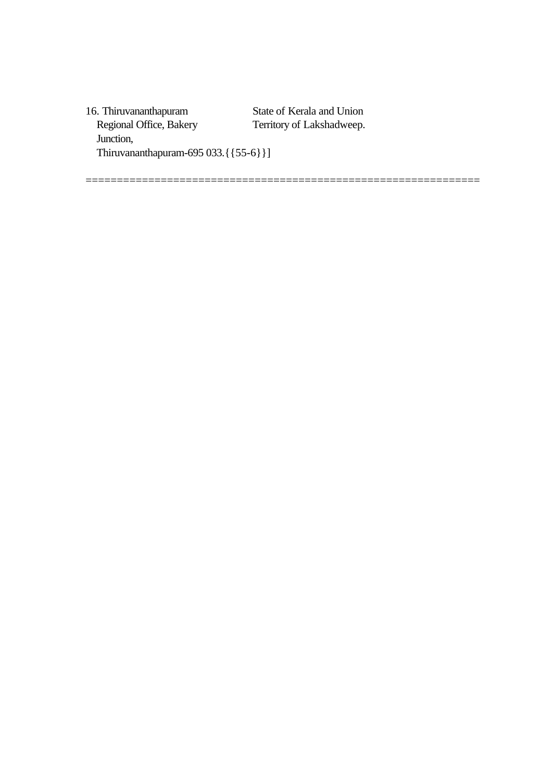16. Thiruvananthapuram State of Kerala and Union Regional Office, Bakery Territory of Lakshadweep. Junction, Thiruvananthapuram-695 033.{{55-6}}]

===============================================================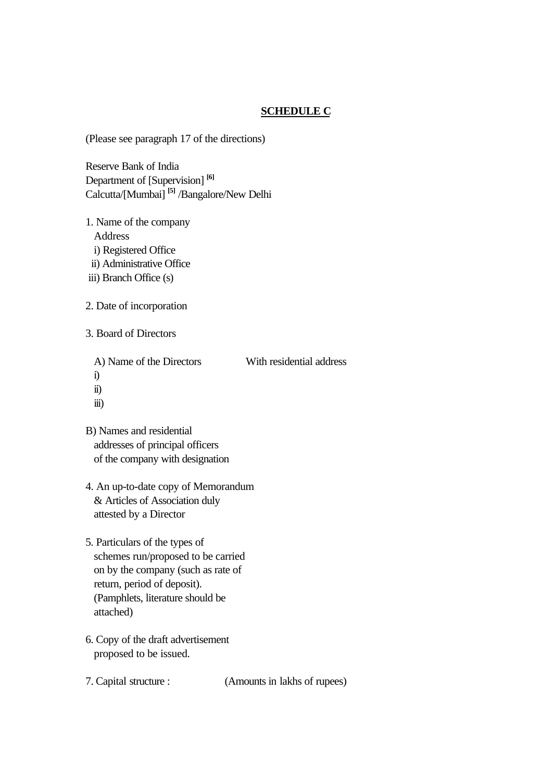## **SCHEDULE C**

(Please see paragraph 17 of the directions)

Reserve Bank of India Department of [Supervision] **[6]** Calcutta/[Mumbai] **[5]** /Bangalore/New Delhi

- 1. Name of the company Address i) Registered Office ii) Administrative Office
- iii) Branch Office (s)
- 2. Date of incorporation
- 3. Board of Directors

A) Name of the Directors With residential address

- i)
- ii)
- iii)

B) Names and residential addresses of principal officers of the company with designation

- 4. An up-to-date copy of Memorandum & Articles of Association duly attested by a Director
- 5. Particulars of the types of schemes run/proposed to be carried on by the company (such as rate of return, period of deposit). (Pamphlets, literature should be attached)
- 6. Copy of the draft advertisement proposed to be issued.
- 

7. Capital structure : (Amounts in lakhs of rupees)